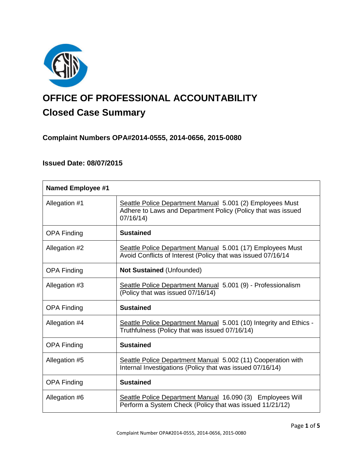

# **OFFICE OF PROFESSIONAL ACCOUNTABILITY Closed Case Summary**

# **Complaint Numbers OPA#2014-0555, 2014-0656, 2015-0080**

# **Issued Date: 08/07/2015**

| <b>Named Employee #1</b> |                                                                                                                                       |
|--------------------------|---------------------------------------------------------------------------------------------------------------------------------------|
| Allegation #1            | Seattle Police Department Manual 5.001 (2) Employees Must<br>Adhere to Laws and Department Policy (Policy that was issued<br>07/16/14 |
| <b>OPA Finding</b>       | <b>Sustained</b>                                                                                                                      |
| Allegation #2            | Seattle Police Department Manual 5.001 (17) Employees Must<br>Avoid Conflicts of Interest (Policy that was issued 07/16/14            |
| <b>OPA Finding</b>       | <b>Not Sustained (Unfounded)</b>                                                                                                      |
| Allegation #3            | Seattle Police Department Manual 5.001 (9) - Professionalism<br>(Policy that was issued 07/16/14)                                     |
| <b>OPA Finding</b>       | <b>Sustained</b>                                                                                                                      |
| Allegation #4            | Seattle Police Department Manual 5.001 (10) Integrity and Ethics -<br>Truthfulness (Policy that was issued 07/16/14)                  |
| <b>OPA Finding</b>       | <b>Sustained</b>                                                                                                                      |
| Allegation #5            | Seattle Police Department Manual 5.002 (11) Cooperation with<br>Internal Investigations (Policy that was issued 07/16/14)             |
| <b>OPA Finding</b>       | <b>Sustained</b>                                                                                                                      |
| Allegation #6            | Seattle Police Department Manual 16.090 (3) Employees Will<br>Perform a System Check (Policy that was issued 11/21/12)                |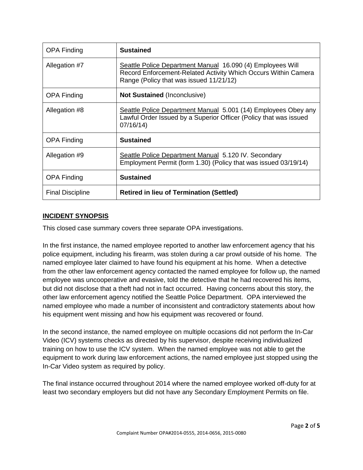| <b>OPA Finding</b>      | <b>Sustained</b>                                                                                                                                                        |
|-------------------------|-------------------------------------------------------------------------------------------------------------------------------------------------------------------------|
| Allegation #7           | Seattle Police Department Manual 16.090 (4) Employees Will<br>Record Enforcement-Related Activity Which Occurs Within Camera<br>Range (Policy that was issued 11/21/12) |
| <b>OPA Finding</b>      | <b>Not Sustained (Inconclusive)</b>                                                                                                                                     |
| Allegation #8           | Seattle Police Department Manual 5.001 (14) Employees Obey any<br>Lawful Order Issued by a Superior Officer (Policy that was issued<br>07/16/14)                        |
| <b>OPA Finding</b>      | <b>Sustained</b>                                                                                                                                                        |
| Allegation #9           | Seattle Police Department Manual 5.120 IV. Secondary<br>Employment Permit (form 1.30) (Policy that was issued 03/19/14)                                                 |
| <b>OPA Finding</b>      | <b>Sustained</b>                                                                                                                                                        |
| <b>Final Discipline</b> | <b>Retired in lieu of Termination (Settled)</b>                                                                                                                         |

# **INCIDENT SYNOPSIS**

This closed case summary covers three separate OPA investigations.

In the first instance, the named employee reported to another law enforcement agency that his police equipment, including his firearm, was stolen during a car prowl outside of his home. The named employee later claimed to have found his equipment at his home. When a detective from the other law enforcement agency contacted the named employee for follow up, the named employee was uncooperative and evasive, told the detective that he had recovered his items, but did not disclose that a theft had not in fact occurred. Having concerns about this story, the other law enforcement agency notified the Seattle Police Department. OPA interviewed the named employee who made a number of inconsistent and contradictory statements about how his equipment went missing and how his equipment was recovered or found.

In the second instance, the named employee on multiple occasions did not perform the In-Car Video (ICV) systems checks as directed by his supervisor, despite receiving individualized training on how to use the ICV system. When the named employee was not able to get the equipment to work during law enforcement actions, the named employee just stopped using the In-Car Video system as required by policy.

The final instance occurred throughout 2014 where the named employee worked off-duty for at least two secondary employers but did not have any Secondary Employment Permits on file.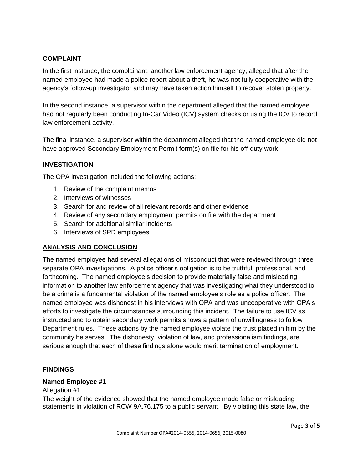# **COMPLAINT**

In the first instance, the complainant, another law enforcement agency, alleged that after the named employee had made a police report about a theft, he was not fully cooperative with the agency's follow-up investigator and may have taken action himself to recover stolen property.

In the second instance, a supervisor within the department alleged that the named employee had not regularly been conducting In-Car Video (ICV) system checks or using the ICV to record law enforcement activity.

The final instance, a supervisor within the department alleged that the named employee did not have approved Secondary Employment Permit form(s) on file for his off-duty work.

# **INVESTIGATION**

The OPA investigation included the following actions:

- 1. Review of the complaint memos
- 2. Interviews of witnesses
- 3. Search for and review of all relevant records and other evidence
- 4. Review of any secondary employment permits on file with the department
- 5. Search for additional similar incidents
- 6. Interviews of SPD employees

# **ANALYSIS AND CONCLUSION**

The named employee had several allegations of misconduct that were reviewed through three separate OPA investigations. A police officer's obligation is to be truthful, professional, and forthcoming. The named employee's decision to provide materially false and misleading information to another law enforcement agency that was investigating what they understood to be a crime is a fundamental violation of the named employee's role as a police officer. The named employee was dishonest in his interviews with OPA and was uncooperative with OPA's efforts to investigate the circumstances surrounding this incident. The failure to use ICV as instructed and to obtain secondary work permits shows a pattern of unwillingness to follow Department rules. These actions by the named employee violate the trust placed in him by the community he serves. The dishonesty, violation of law, and professionalism findings, are serious enough that each of these findings alone would merit termination of employment.

# **FINDINGS**

## **Named Employee #1**

## Allegation #1

The weight of the evidence showed that the named employee made false or misleading statements in violation of RCW 9A.76.175 to a public servant. By violating this state law, the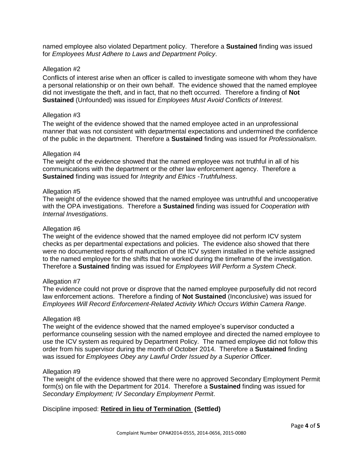named employee also violated Department policy. Therefore a **Sustained** finding was issued for *Employees Must Adhere to Laws and Department Policy*.

## Allegation #2

Conflicts of interest arise when an officer is called to investigate someone with whom they have a personal relationship or on their own behalf. The evidence showed that the named employee did not investigate the theft, and in fact, that no theft occurred. Therefore a finding of **Not Sustained** (Unfounded) was issued for *Employees Must Avoid Conflicts of Interest.*

### Allegation #3

The weight of the evidence showed that the named employee acted in an unprofessional manner that was not consistent with departmental expectations and undermined the confidence of the public in the department. Therefore a **Sustained** finding was issued for *Professionalism*.

#### Allegation #4

The weight of the evidence showed that the named employee was not truthful in all of his communications with the department or the other law enforcement agency. Therefore a **Sustained** finding was issued for *Integrity and Ethics -Truthfulness*.

## Allegation #5

The weight of the evidence showed that the named employee was untruthful and uncooperative with the OPA investigations. Therefore a **Sustained** finding was issued for *Cooperation with Internal Investigations*.

#### Allegation #6

The weight of the evidence showed that the named employee did not perform ICV system checks as per departmental expectations and policies. The evidence also showed that there were no documented reports of malfunction of the ICV system installed in the vehicle assigned to the named employee for the shifts that he worked during the timeframe of the investigation. Therefore a **Sustained** finding was issued for *Employees Will Perform a System Check*.

#### Allegation #7

The evidence could not prove or disprove that the named employee purposefully did not record law enforcement actions. Therefore a finding of **Not Sustained** (Inconclusive) was issued for *Employees Will Record Enforcement-Related Activity Which Occurs Within Camera Range*.

#### Allegation #8

The weight of the evidence showed that the named employee's supervisor conducted a performance counseling session with the named employee and directed the named employee to use the ICV system as required by Department Policy. The named employee did not follow this order from his supervisor during the month of October 2014. Therefore a **Sustained** finding was issued for *Employees Obey any Lawful Order Issued by a Superior Officer*.

## Allegation #9

The weight of the evidence showed that there were no approved Secondary Employment Permit form(s) on file with the Department for 2014. Therefore a **Sustained** finding was issued for *Secondary Employment; IV Secondary Employment Permit*.

Discipline imposed: **Retired in lieu of Termination (Settled)**